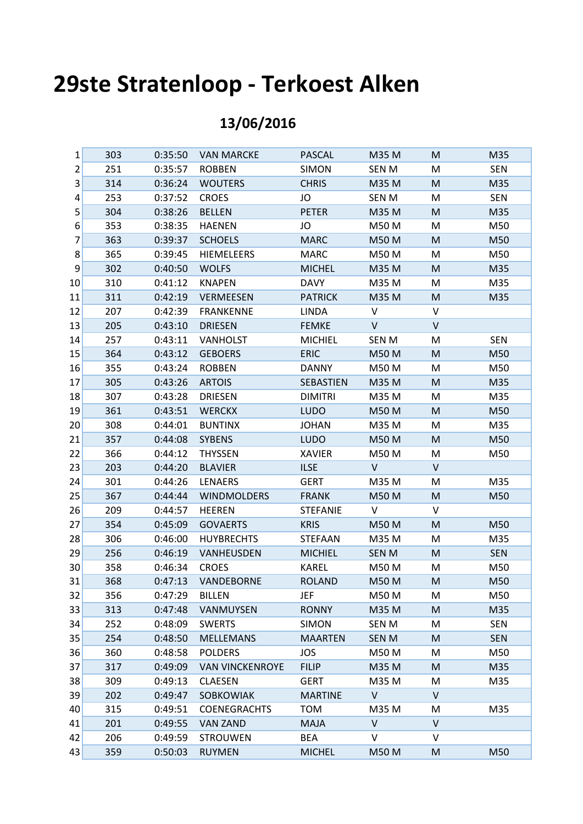## **29ste Stratenloop - Terkoest Alken**

## **13/06/2016**

| 1               | 303 | 0:35:50 | <b>VAN MARCKE</b>      | <b>PASCAL</b>   | M35 M        | M            | M35        |
|-----------------|-----|---------|------------------------|-----------------|--------------|--------------|------------|
| $\overline{c}$  | 251 | 0:35:57 | <b>ROBBEN</b>          | <b>SIMON</b>    | <b>SEN M</b> | M            | <b>SEN</b> |
| 3               | 314 | 0:36:24 | <b>WOUTERS</b>         | <b>CHRIS</b>    | M35 M        | M            | M35        |
| 4               | 253 | 0:37:52 | <b>CROES</b>           | JO              | SEN M        | M            | <b>SEN</b> |
| 5               | 304 | 0:38:26 | <b>BELLEN</b>          | <b>PETER</b>    | M35 M        | M            | M35        |
| 6               | 353 | 0:38:35 | <b>HAENEN</b>          | JO              | M50 M        | M            | M50        |
| 7               | 363 | 0:39:37 | <b>SCHOELS</b>         | <b>MARC</b>     | M50 M        | M            | M50        |
| 8               | 365 | 0:39:45 | <b>HIEMELEERS</b>      | <b>MARC</b>     | M50 M        | M            | M50        |
| 9               | 302 | 0:40:50 | <b>WOLFS</b>           | <b>MICHEL</b>   | M35 M        | M            | M35        |
| 10              | 310 | 0:41:12 | <b>KNAPEN</b>          | <b>DAVY</b>     | M35 M        | M            | M35        |
| 11              | 311 | 0:42:19 | <b>VERMEESEN</b>       | <b>PATRICK</b>  | M35 M        | M            | M35        |
| 12              | 207 | 0:42:39 | <b>FRANKENNE</b>       | <b>LINDA</b>    | $\vee$       | V            |            |
| 13              | 205 | 0:43:10 | <b>DRIESEN</b>         | <b>FEMKE</b>    | $\mathsf{V}$ | $\mathsf{V}$ |            |
| 14              | 257 | 0:43:11 | <b>VANHOLST</b>        | <b>MICHIEL</b>  | SEN M        | M            | <b>SEN</b> |
| 15              | 364 | 0:43:12 | <b>GEBOERS</b>         | <b>ERIC</b>     | <b>M50 M</b> | M            | M50        |
| 16              | 355 | 0:43:24 | <b>ROBBEN</b>          | <b>DANNY</b>    | M50 M        | M            | M50        |
| 17              | 305 | 0:43:26 | <b>ARTOIS</b>          | SEBASTIEN       | M35 M        | M            | M35        |
| 18              | 307 | 0:43:28 | <b>DRIESEN</b>         | <b>DIMITRI</b>  | M35 M        | M            | M35        |
| 19              | 361 | 0:43:51 | <b>WERCKX</b>          | <b>LUDO</b>     | <b>M50 M</b> | M            | M50        |
| 20 <sub>2</sub> | 308 | 0:44:01 | <b>BUNTINX</b>         | <b>JOHAN</b>    | M35 M        | M            | M35        |
| 21              | 357 | 0:44:08 | <b>SYBENS</b>          | <b>LUDO</b>     | <b>M50 M</b> | M            | M50        |
| 22              | 366 | 0:44:12 | <b>THYSSEN</b>         | <b>XAVIER</b>   | M50 M        | M            | M50        |
| 23              | 203 | 0:44:20 | <b>BLAVIER</b>         | <b>ILSE</b>     | $\mathsf{V}$ | V            |            |
| 24              | 301 | 0:44:26 | <b>LENAERS</b>         | <b>GERT</b>     | M35 M        | M            | M35        |
| 25              | 367 | 0:44:44 | <b>WINDMOLDERS</b>     | <b>FRANK</b>    | <b>M50 M</b> | M            | M50        |
| 26              | 209 | 0:44:57 | <b>HEEREN</b>          | <b>STEFANIE</b> | $\vee$       | V            |            |
| 27              | 354 | 0:45:09 | <b>GOVAERTS</b>        | <b>KRIS</b>     | M50 M        | M            | M50        |
| 28              | 306 | 0:46:00 | <b>HUYBRECHTS</b>      | <b>STEFAAN</b>  | M35 M        | M            | M35        |
| 29              | 256 | 0:46:19 | VANHEUSDEN             | <b>MICHIEL</b>  | <b>SEN M</b> | M            | <b>SEN</b> |
| 30              | 358 | 0:46:34 | <b>CROES</b>           | <b>KAREL</b>    | M50 M        | M            | M50        |
| 31              | 368 | 0:47:13 | <b>VANDEBORNE</b>      | <b>ROLAND</b>   | <b>M50 M</b> | M            | M50        |
| 32              | 356 | 0:47:29 | <b>BILLEN</b>          | JEF             | M50 M        | M            | M50        |
| 33              | 313 | 0:47:48 | VANMUYSEN              | <b>RONNY</b>    | M35 M        | M            | M35        |
| 34              | 252 | 0:48:09 | <b>SWERTS</b>          | <b>SIMON</b>    | SEN M        | M            | <b>SEN</b> |
| 35              | 254 | 0:48:50 | <b>MELLEMANS</b>       | <b>MAARTEN</b>  | <b>SEN M</b> | M            | <b>SEN</b> |
| 36              | 360 | 0:48:58 | <b>POLDERS</b>         | JOS             | M50 M        | M            | M50        |
| 37              | 317 | 0:49:09 | <b>VAN VINCKENROYE</b> | <b>FILIP</b>    | M35 M        | M            | M35        |
| 38              | 309 | 0:49:13 | <b>CLAESEN</b>         | <b>GERT</b>     | M35 M        | M            | M35        |
| 39              | 202 | 0:49:47 | SOBKOWIAK              | <b>MARTINE</b>  | V            | V            |            |
| 40              | 315 | 0:49:51 | <b>COENEGRACHTS</b>    | <b>TOM</b>      | M35 M        | M            | M35        |
| 41              | 201 | 0:49:55 | <b>VAN ZAND</b>        | <b>MAJA</b>     | $\vee$       | $\vee$       |            |
| 42              | 206 | 0:49:59 | <b>STROUWEN</b>        | BEA             | V            | V            |            |
| 43              | 359 | 0:50:03 | <b>RUYMEN</b>          | <b>MICHEL</b>   | <b>M50 M</b> | M            | M50        |